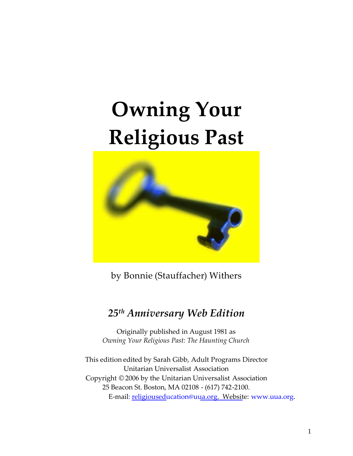# **Owning Your Religious Past**



by Bonnie (Stauffacher) Withers

# *25th Anniversary Web Edition*

Originally published in August 1981 as *Owning Your Religious Past: The Haunting Church*

This edition edited by Sarah Gibb, Adult Programs Director Unitarian Universalist Association Copyright © 2006 by the Unitarian Universalist Association 25 Beacon St. Boston, MA 02108 - (617) 742-2100. E-mail: religiouseducation@uua.org. Website: www.uua.org.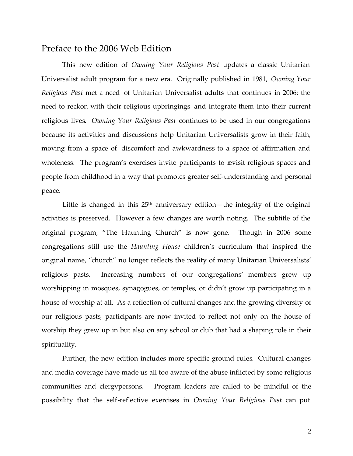# Preface to the 2006 Web Edition

This new edition of *Owning Your Religious Past* updates a classic Unitarian Universalist adult program for a new era. Originally published in 1981, *Owning Your Religious Past* met a need of Unitarian Universalist adults that continues in 2006: the need to reckon with their religious upbringings and integrate them into their current religious lives. *Owning Your Religious Past* continues to be used in our congregations because its activities and discussions help Unitarian Universalists grow in their faith, moving from a space of discomfort and awkwardness to a space of affirmation and wholeness. The program's exercises invite participants to revisit religious spaces and people from childhood in a way that promotes greater self-understanding and personal peace.

Little is changed in this  $25<sup>th</sup>$  anniversary edition—the integrity of the original activities is preserved. However a few changes are worth noting. The subtitle of the original program, "The Haunting Church" is now gone. Though in 2006 some congregations still use the *Haunting House* children's curriculum that inspired the original name, "church" no longer reflects the reality of many Unitarian Universalists' religious pasts. Increasing numbers of our congregations' members grew up worshipping in mosques, synagogues, or temples, or didn't grow up participating in a house of worship at all. As a reflection of cultural changes and the growing diversity of our religious pasts, participants are now invited to reflect not only on the house of worship they grew up in but also on any school or club that had a shaping role in their spirituality.

Further, the new edition includes more specific ground rules. Cultural changes and media coverage have made us all too aware of the abuse inflicted by some religious communities and clergypersons. Program leaders are called to be mindful of the possibility that the self-reflective exercises in *Owning Your Religious Past* can put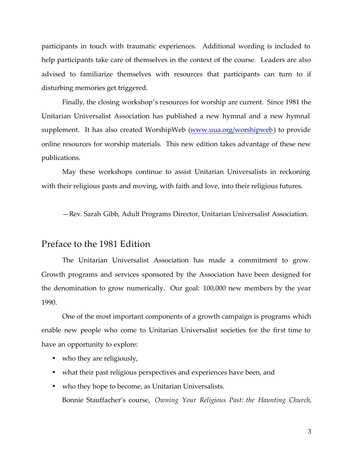participants in touch with traumatic experiences. Additional wording is included to help participants take care of themselves in the context of the course. Leaders are also advised to familiarize themselves with resources that participants can turn to if disturbing memories get triggered.

Finally, the closing workshop's resources for worship are current. Since 1981 the Unitarian Universalist Association has published a new hymnal and a new hymnal supplement. It has also created WorshipWeb (www.uua.org/worshipweb) to provide online resources for worship materials. This new edition takes advantage of these new publications.

May these workshops continue to assist Unitarian Universalists in reckoning with their religious pasts and moving, with faith and love, into their religious futures.

—Rev. Sarah Gibb, Adult Programs Director, Unitarian Universalist Association.

# Preface to the 1981 Edition

The Unitarian Universalist Association has made a commitment to grow. Growth programs and services sponsored by the Association have been designed for the denomination to grow numerically. Our goal: 100,000 new members by the year 1990.

One of the most important components of a growth campaign is programs which enable new people who come to Unitarian Universalist societies for the first time to have an opportunity to explore:

- who they are religiously,
- what their past religious perspectives and experiences have been, and
- who they hope to become, as Unitarian Universalists. Bonnie Stauffacher's course, *Owning Your Religious Past: the Haunting Church,*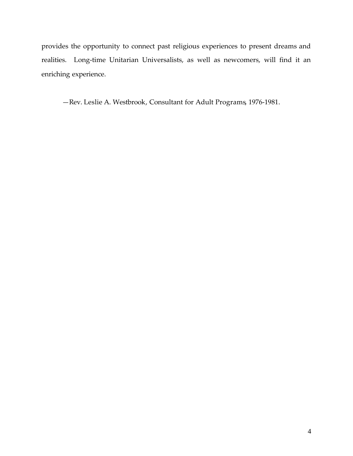provides the opportunity to connect past religious experiences to present dreams and realities. Long-time Unitarian Universalists, as well as newcomers, will find it an enriching experience.

—Rev. Leslie A. Westbrook, Consultant for Adult Programs, 1976-1981.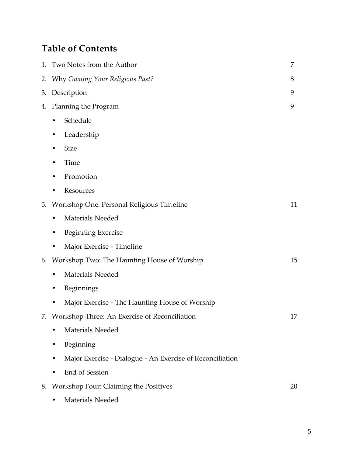# **Table of Contents**

|    | 1. Two Notes from the Author                              | 7  |
|----|-----------------------------------------------------------|----|
|    | 2. Why Owning Your Religious Past?                        | 8  |
|    | 3. Description                                            | 9  |
|    | 4. Planning the Program                                   | 9  |
|    | Schedule<br>$\bullet$                                     |    |
|    | Leadership                                                |    |
|    | <b>Size</b>                                               |    |
|    | Time                                                      |    |
|    | Promotion                                                 |    |
|    | Resources                                                 |    |
|    | 5. Workshop One: Personal Religious Timeline              | 11 |
|    | Materials Needed                                          |    |
|    | <b>Beginning Exercise</b>                                 |    |
|    | Major Exercise - Timeline                                 |    |
|    | 6. Workshop Two: The Haunting House of Worship            | 15 |
|    | Materials Needed                                          |    |
|    | Beginnings                                                |    |
|    | Major Exercise - The Haunting House of Worship            |    |
| 7. | Workshop Three: An Exercise of Reconciliation             | 17 |
|    | <b>Materials Needed</b>                                   |    |
|    | Beginning                                                 |    |
|    | Major Exercise - Dialogue - An Exercise of Reconciliation |    |
|    | End of Session                                            |    |
| 8. | Workshop Four: Claiming the Positives                     | 20 |
|    | Materials Needed                                          |    |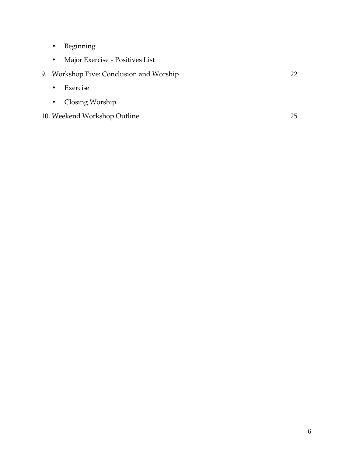- Beginning
- Major Exercise Positives List
- 9. Workshop Five: Conclusion and Worship 22
	- Exercise
	- Closing Worship
- 10. Weekend Workshop Outline 25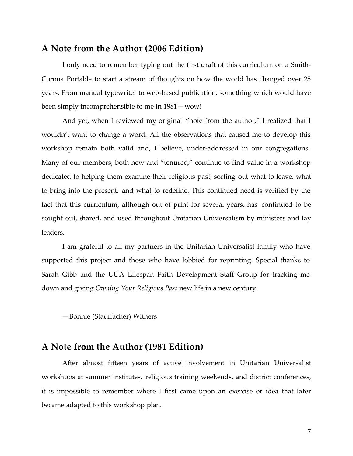# **A Note from the Author (2006 Edition)**

I only need to remember typing out the first draft of this curriculum on a Smith-Corona Portable to start a stream of thoughts on how the world has changed over 25 years. From manual typewriter to web-based publication, something which would have been simply incomprehensible to me in 1981—wow!

And yet, when I reviewed my original "note from the author," I realized that I wouldn't want to change a word. All the observations that caused me to develop this workshop remain both valid and, I believe, under-addressed in our congregations. Many of our members, both new and "tenured," continue to find value in a workshop dedicated to helping them examine their religious past, sorting out what to leave, what to bring into the present, and what to redefine. This continued need is verified by the fact that this curriculum, although out of print for several years, has continued to be sought out, shared, and used throughout Unitarian Universalism by ministers and lay leaders.

I am grateful to all my partners in the Unitarian Universalist family who have supported this project and those who have lobbied for reprinting. Special thanks to Sarah Gibb and the UUA Lifespan Faith Development Staff Group for tracking me down and giving *Owning Your Religious Past* new life in a new century.

—Bonnie (Stauffacher) Withers

# **A Note from the Author (1981 Edition)**

After almost fifteen years of active involvement in Unitarian Universalist workshops at summer institutes, religious training weekends, and district conferences, it is impossible to remember where I first came upon an exercise or idea that later became adapted to this workshop plan.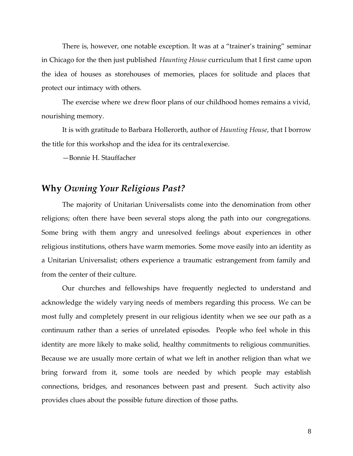There is, however, one notable exception. It was at a "trainer's training" seminar in Chicago for the then just published *Haunting House* curriculum that I first came upon the idea of houses as storehouses of memories, places for solitude and places that protect our intimacy with others.

The exercise where we drew floor plans of our childhood homes remains a vivid, nourishing memory.

It is with gratitude to Barbara Hollerorth, author of *Haunting House*, that I borrow the title for this workshop and the idea for its central exercise.

—Bonnie H. Stauffacher

# **Why** *Owning Your Religious Past?*

The majority of Unitarian Universalists come into the denomination from other religions; often there have been several stops along the path into our congregations. Some bring with them angry and unresolved feelings about experiences in other religious institutions, others have warm memories. Some move easily into an identity as a Unitarian Universalist; others experience a traumatic estrangement from family and from the center of their culture.

Our churches and fellowships have frequently neglected to understand and acknowledge the widely varying needs of members regarding this process. We can be most fully and completely present in our religious identity when we see our path as a continuum rather than a series of unrelated episodes. People who feel whole in this identity are more likely to make solid, healthy commitments to religious communities. Because we are usually more certain of what we left in another religion than what we bring forward from it, some tools are needed by which people may establish connections, bridges, and resonances between past and present. Such activity also provides clues about the possible future direction of those paths.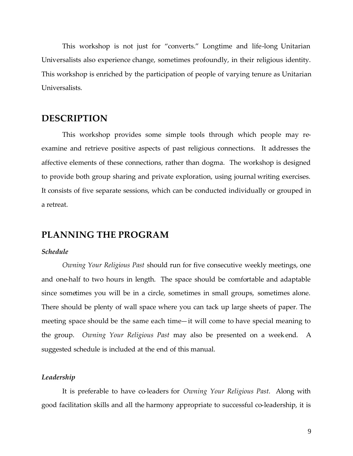This workshop is not just for "converts." Longtime and life-long Unitarian Universalists also experience change, sometimes profoundly, in their religious identity. This workshop is enriched by the participation of people of varying tenure as Unitarian Universalists.

# **DESCRIPTION**

This workshop provides some simple tools through which people may reexamine and retrieve positive aspects of past religious connections. It addresses the affective elements of these connections, rather than dogma. The workshop is designed to provide both group sharing and private exploration, using journal writing exercises. It consists of five separate sessions, which can be conducted individually or grouped in a retreat.

# **PLANNING THE PROGRAM**

## *Schedule*

*Owning Your Religious Past* should run for five consecutive weekly meetings, one and one-half to two hours in length. The space should be comfortable and adaptable since sometimes you will be in a circle, sometimes in small groups, sometimes alone. There should be plenty of wall space where you can tack up large sheets of paper. The meeting space should be the same each time—it will come to have special meaning to the group. *Owning Your Religious Past* may also be presented on a weekend. A suggested schedule is included at the end of this manual.

#### *Leadership*

It is preferable to have co-leaders for *Owning Your Religious Past.* Along with good facilitation skills and all the harmony appropriate to successful co-leadership, it is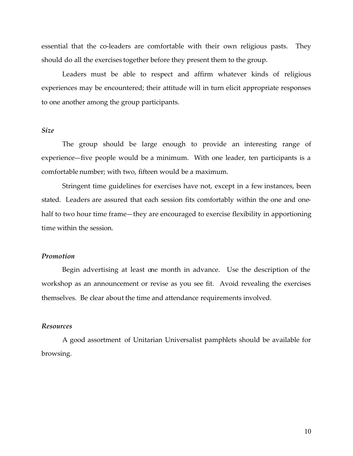essential that the co-leaders are comfortable with their own religious pasts. They should do all the exercises together before they present them to the group.

Leaders must be able to respect and affirm whatever kinds of religious experiences may be encountered; their attitude will in turn elicit appropriate responses to one another among the group participants.

#### *Size*

The group should be large enough to provide an interesting range of experience—five people would be a minimum. With one leader, ten participants is a comfortable number; with two, fifteen would be a maximum.

Stringent time guidelines for exercises have not, except in a few instances, been stated. Leaders are assured that each session fits comfortably within the one and onehalf to two hour time frame—they are encouraged to exercise flexibility in apportioning time within the session.

#### *Promotion*

Begin advertising at least one month in advance. Use the description of the workshop as an announcement or revise as you see fit. Avoid revealing the exercises themselves. Be clear about the time and attendance requirements involved.

#### *Resources*

A good assortment of Unitarian Universalist pamphlets should be available for browsing.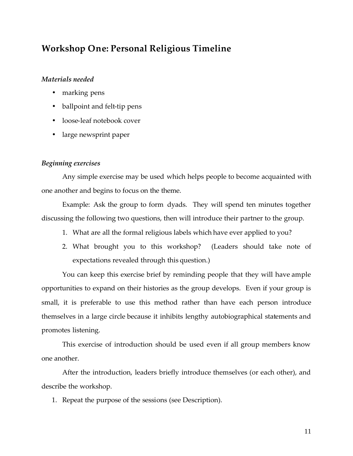# **Workshop One: Personal Religious Timeline**

## *Materials needed*

- marking pens
- ballpoint and felt-tip pens
- loose-leaf notebook cover
- large newsprint paper

#### *Beginning exercises*

Any simple exercise may be used which helps people to become acquainted with one another and begins to focus on the theme.

Example: Ask the group to form dyads. They will spend ten minutes together discussing the following two questions, then will introduce their partner to the group.

- 1. What are all the formal religious labels which have ever applied to you?
- 2. What brought you to this workshop? (Leaders should take note of expectations revealed through this question.)

You can keep this exercise brief by reminding people that they will have ample opportunities to expand on their histories as the group develops. Even if your group is small, it is preferable to use this method rather than have each person introduce themselves in a large circle because it inhibits lengthy autobiographical statements and promotes listening.

This exercise of introduction should be used even if all group members know one another.

After the introduction, leaders briefly introduce themselves (or each other), and describe the workshop.

1. Repeat the purpose of the sessions (see Description).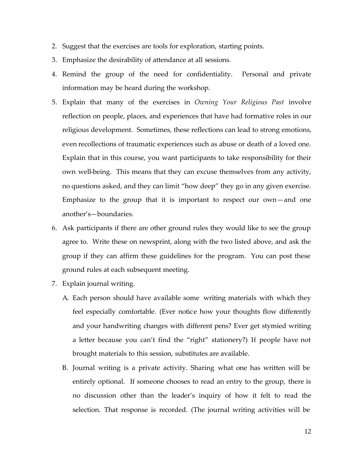- 2. Suggest that the exercises are tools for exploration, starting points.
- 3. Emphasize the desirability of attendance at all sessions.
- 4. Remind the group of the need for confidentiality. Personal and private information may be heard during the workshop.
- 5. Explain that many of the exercises in *Owning Your Religious Past* involve reflection on people, places, and experiences that have had formative roles in our religious development. Sometimes, these reflections can lead to strong emotions, even recollections of traumatic experiences such as abuse or death of a loved one. Explain that in this course, you want participants to take responsibility for their own well-being. This means that they can excuse themselves from any activity, no questions asked, and they can limit "how deep" they go in any given exercise. Emphasize to the group that it is important to respect our own—and one another's—boundaries.
- 6. Ask participants if there are other ground rules they would like to see the group agree to. Write these on newsprint, along with the two listed above, and ask the group if they can affirm these guidelines for the program. You can post these ground rules at each subsequent meeting.
- 7. Explain journal writing.
	- A. Each person should have available some writing materials with which they feel especially comfortable. (Ever notice how your thoughts flow differently and your handwriting changes with different pens? Ever get stymied writing a letter because you can't find the "right" stationery?) If people have not brought materials to this session, substitutes are available.
	- B. Journal writing is a private activity. Sharing what one has written will be entirely optional. If someone chooses to read an entry to the group, there is no discussion other than the leader's inquiry of how it felt to read the selection. That response is recorded. (The journal writing activities will be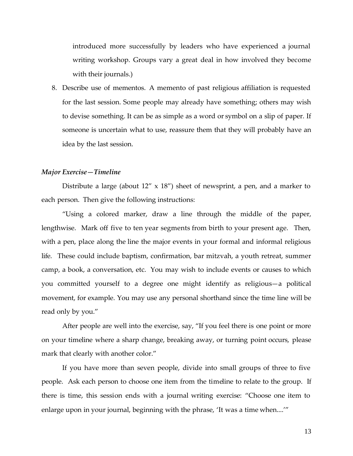introduced more successfully by leaders who have experienced a journal writing workshop. Groups vary a great deal in how involved they become with their journals.)

8. Describe use of mementos. A memento of past religious affiliation is requested for the last session. Some people may already have something; others may wish to devise something. It can be as simple as a word or symbol on a slip of paper. If someone is uncertain what to use, reassure them that they will probably have an idea by the last session.

## *Major Exercise—Timeline*

Distribute a large (about  $12'' \times 18''$ ) sheet of newsprint, a pen, and a marker to each person. Then give the following instructions:

"Using a colored marker, draw a line through the middle of the paper, lengthwise. Mark off five to ten year segments from birth to your present age. Then, with a pen, place along the line the major events in your formal and informal religious life. These could include baptism, confirmation, bar mitzvah, a youth retreat, summer camp, a book, a conversation, etc. You may wish to include events or causes to which you committed yourself to a degree one might identify as religious—a political movement, for example. You may use any personal shorthand since the time line will be read only by you."

After people are well into the exercise, say, "If you feel there is one point or more on your timeline where a sharp change, breaking away, or turning point occurs, please mark that clearly with another color."

If you have more than seven people, divide into small groups of three to five people. Ask each person to choose one item from the timeline to relate to the group. If there is time, this session ends with a journal writing exercise: "Choose one item to enlarge upon in your journal, beginning with the phrase, 'It was a time when....'"

13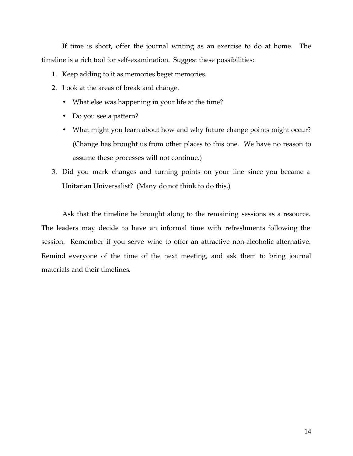If time is short, offer the journal writing as an exercise to do at home. The timeline is a rich tool for self-examination. Suggest these possibilities:

- 1. Keep adding to it as memories beget memories.
- 2. Look at the areas of break and change.
	- What else was happening in your life at the time?
	- Do you see a pattern?
	- What might you learn about how and why future change points might occur? (Change has brought us from other places to this one. We have no reason to assume these processes will not continue.)
- 3. Did you mark changes and turning points on your line since you became a Unitarian Universalist? (Many do not think to do this.)

Ask that the timeline be brought along to the remaining sessions as a resource. The leaders may decide to have an informal time with refreshments following the session. Remember if you serve wine to offer an attractive non-alcoholic alternative. Remind everyone of the time of the next meeting, and ask them to bring journal materials and their timelines.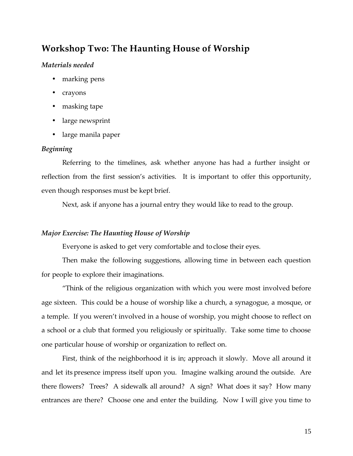# **Workshop Two: The Haunting House of Worship**

## *Materials needed*

- marking pens
- crayons
- masking tape
- large newsprint
- large manila paper

## *Beginning*

Referring to the timelines, ask whether anyone has had a further insight or reflection from the first session's activities. It is important to offer this opportunity, even though responses must be kept brief.

Next, ask if anyone has a journal entry they would like to read to the group.

## *Major Exercise: The Haunting House of Worship*

Everyone is asked to get very comfortable and toclose their eyes.

Then make the following suggestions, allowing time in between each question for people to explore their imaginations.

"Think of the religious organization with which you were most involved before age sixteen. This could be a house of worship like a church, a synagogue, a mosque, or a temple. If you weren't involved in a house of worship, you might choose to reflect on a school or a club that formed you religiously or spiritually. Take some time to choose one particular house of worship or organization to reflect on.

First, think of the neighborhood it is in; approach it slowly. Move all around it and let its presence impress itself upon you. Imagine walking around the outside. Are there flowers? Trees? A sidewalk all around? A sign? What does it say? How many entrances are there? Choose one and enter the building. Now I will give you time to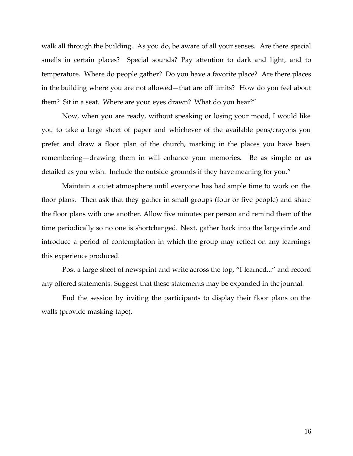walk all through the building. As you do, be aware of all your senses. Are there special smells in certain places? Special sounds? Pay attention to dark and light, and to temperature. Where do people gather? Do you have a favorite place? Are there places in the building where you are not allowed—that are off limits? How do you feel about them? Sit in a seat. Where are your eyes drawn? What do you hear?"

Now, when you are ready, without speaking or losing your mood, I would like you to take a large sheet of paper and whichever of the available pens/crayons you prefer and draw a floor plan of the church, marking in the places you have been remembering—drawing them in will enhance your memories. Be as simple or as detailed as you wish. Include the outside grounds if they have meaning for you."

Maintain a quiet atmosphere until everyone has had ample time to work on the floor plans. Then ask that they gather in small groups (four or five people) and share the floor plans with one another. Allow five minutes per person and remind them of the time periodically so no one is shortchanged. Next, gather back into the large circle and introduce a period of contemplation in which the group may reflect on any learnings this experience produced.

Post a large sheet of newsprint and write across the top, "I learned..." and record any offered statements. Suggest that these statements may be expanded in the journal.

End the session by inviting the participants to display their floor plans on the walls (provide masking tape).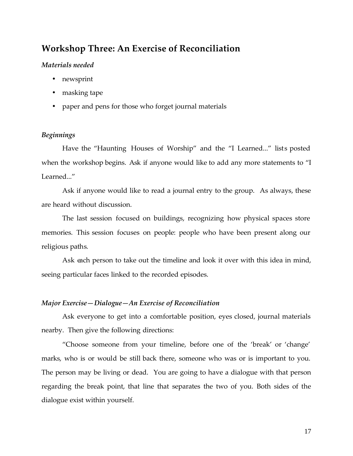# **Workshop Three: An Exercise of Reconciliation**

#### *Materials needed*

- newsprint
- masking tape
- paper and pens for those who forget journal materials

#### *Beginnings*

Have the "Haunting Houses of Worship" and the "I Learned..." lists posted when the workshop begins. Ask if anyone would like to add any more statements to "I Learned..."

Ask if anyone would like to read a journal entry to the group. As always, these are heard without discussion.

The last session focused on buildings, recognizing how physical spaces store memories. This session focuses on people: people who have been present along our religious paths.

Ask each person to take out the timeline and look it over with this idea in mind, seeing particular faces linked to the recorded episodes.

#### *Major Exercise—Dialogue—An Exercise of Reconciliation*

Ask everyone to get into a comfortable position, eyes closed, journal materials nearby. Then give the following directions:

"Choose someone from your timeline, before one of the 'break' or 'change' marks, who is or would be still back there, someone who was or is important to you. The person may be living or dead. You are going to have a dialogue with that person regarding the break point, that line that separates the two of you. Both sides of the dialogue exist within yourself.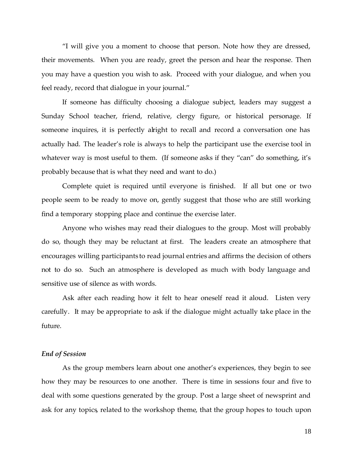"I will give you a moment to choose that person. Note how they are dressed, their movements. When you are ready, greet the person and hear the response. Then you may have a question you wish to ask. Proceed with your dialogue, and when you feel ready, record that dialogue in your journal."

If someone has difficulty choosing a dialogue subject, leaders may suggest a Sunday School teacher, friend, relative, clergy figure, or historical personage. If someone inquires, it is perfectly alright to recall and record a conversation one has actually had. The leader's role is always to help the participant use the exercise tool in whatever way is most useful to them. (If someone asks if they "can" do something, it's probably because that is what they need and want to do.)

Complete quiet is required until everyone is finished. If all but one or two people seem to be ready to move on, gently suggest that those who are still working find a temporary stopping place and continue the exercise later.

Anyone who wishes may read their dialogues to the group. Most will probably do so, though they may be reluctant at first. The leaders create an atmosphere that encourages willing participants to read journal entries and affirms the decision of others not to do so. Such an atmosphere is developed as much with body language and sensitive use of silence as with words.

Ask after each reading how it felt to hear oneself read it aloud. Listen very carefully. It may be appropriate to ask if the dialogue might actually take place in the future.

#### *End of Session*

As the group members learn about one another's experiences, they begin to see how they may be resources to one another. There is time in sessions four and five to deal with some questions generated by the group. Post a large sheet of newsprint and ask for any topics, related to the workshop theme, that the group hopes to touch upon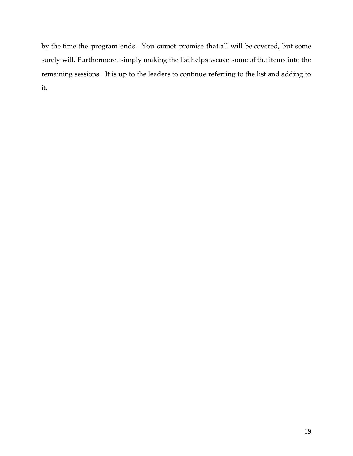by the time the program ends. You cannot promise that all will be covered, but some surely will. Furthermore, simply making the list helps weave some of the items into the remaining sessions. It is up to the leaders to continue referring to the list and adding to it.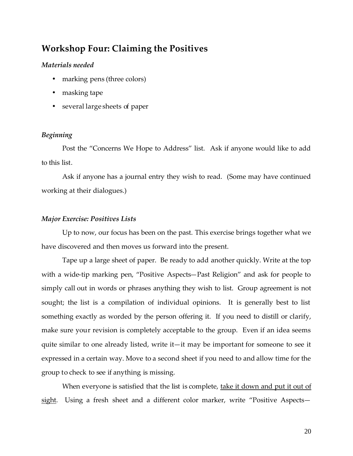# **Workshop Four: Claiming the Positives**

## *Materials needed*

- marking pens (three colors)
- masking tape
- several large sheets of paper

## *Beginning*

Post the "Concerns We Hope to Address" list. Ask if anyone would like to add to this list.

Ask if anyone has a journal entry they wish to read. (Some may have continued working at their dialogues.)

#### *Major Exercise: Positives Lists*

Up to now, our focus has been on the past. This exercise brings together what we have discovered and then moves us forward into the present.

Tape up a large sheet of paper. Be ready to add another quickly. Write at the top with a wide-tip marking pen, "Positive Aspects—Past Religion" and ask for people to simply call out in words or phrases anything they wish to list. Group agreement is not sought; the list is a compilation of individual opinions. It is generally best to list something exactly as worded by the person offering it. If you need to distill or clarify, make sure your revision is completely acceptable to the group. Even if an idea seems quite similar to one already listed, write it—it may be important for someone to see it expressed in a certain way. Move to a second sheet if you need to and allow time for the group to check to see if anything is missing.

When everyone is satisfied that the list is complete, take it down and put it out of sight. Using a fresh sheet and a different color marker, write "Positive Aspects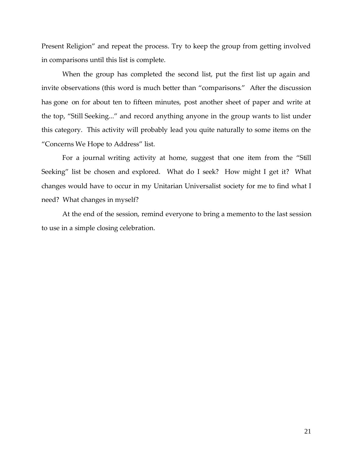Present Religion" and repeat the process. Try to keep the group from getting involved in comparisons until this list is complete.

When the group has completed the second list, put the first list up again and invite observations (this word is much better than "comparisons." After the discussion has gone on for about ten to fifteen minutes, post another sheet of paper and write at the top, "Still Seeking..." and record anything anyone in the group wants to list under this category. This activity will probably lead you quite naturally to some items on the "Concerns We Hope to Address" list.

For a journal writing activity at home, suggest that one item from the "Still Seeking" list be chosen and explored. What do I seek? How might I get it? What changes would have to occur in my Unitarian Universalist society for me to find what I need? What changes in myself?

At the end of the session, remind everyone to bring a memento to the last session to use in a simple closing celebration.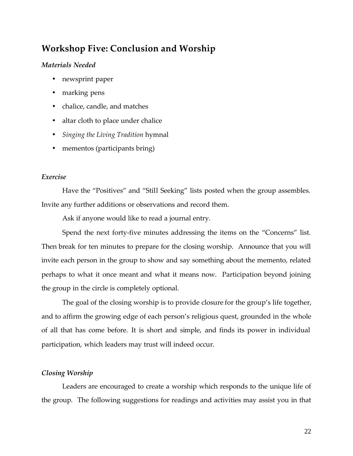# **Workshop Five: Conclusion and Worship**

## *Materials Needed*

- newsprint paper
- marking pens
- chalice, candle, and matches
- altar cloth to place under chalice
- *Singing the Living Tradition* hymnal
- mementos (participants bring)

## *Exercise*

Have the "Positives" and "Still Seeking" lists posted when the group assembles. Invite any further additions or observations and record them.

Ask if anyone would like to read a journal entry.

Spend the next forty-five minutes addressing the items on the "Concerns" list. Then break for ten minutes to prepare for the closing worship. Announce that you will invite each person in the group to show and say something about the memento, related perhaps to what it once meant and what it means now. Participation beyond joining the group in the circle is completely optional.

The goal of the closing worship is to provide closure for the group's life together, and to affirm the growing edge of each person's religious quest, grounded in the whole of all that has come before. It is short and simple, and finds its power in individual participation, which leaders may trust will indeed occur.

## *Closing Worship*

Leaders are encouraged to create a worship which responds to the unique life of the group. The following suggestions for readings and activities may assist you in that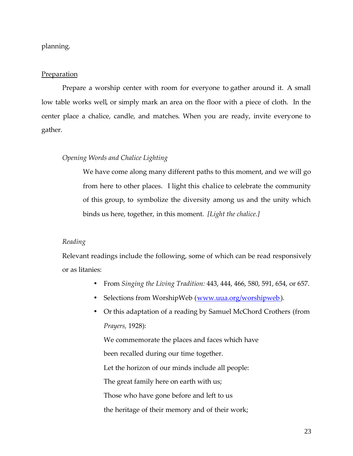## planning.

#### **Preparation**

Prepare a worship center with room for everyone to gather around it. A small low table works well, or simply mark an area on the floor with a piece of cloth. In the center place a chalice, candle, and matches. When you are ready, invite everyone to gather.

## *Opening Words and Chalice Lighting*

We have come along many different paths to this moment, and we will go from here to other places. I light this chalice to celebrate the community of this group, to symbolize the diversity among us and the unity which binds us here, together, in this moment. *[Light the chalice.]*

#### *Reading*

Relevant readings include the following, some of which can be read responsively or as litanies:

- From *Singing the Living Tradition:* 443, 444, 466, 580, 591, 654, or 657.
- Selections from WorshipWeb (www.uua.org/worshipweb).
- Or this adaptation of a reading by Samuel McChord Crothers (from *Prayers,* 1928):

We commemorate the places and faces which have been recalled during our time together. Let the horizon of our minds include all people: The great family here on earth with us; Those who have gone before and left to us the heritage of their memory and of their work;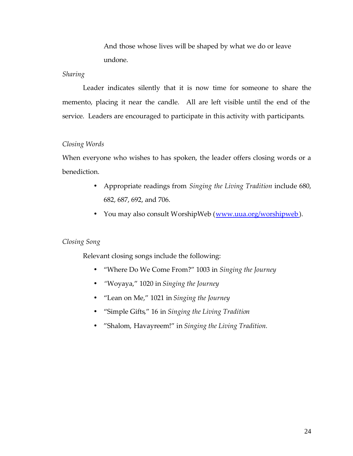And those whose lives will be shaped by what we do or leave undone.

#### *Sharing*

Leader indicates silently that it is now time for someone to share the memento, placing it near the candle. All are left visible until the end of the service. Leaders are encouraged to participate in this activity with participants.

#### *Closing Words*

When everyone who wishes to has spoken, the leader offers closing words or a benediction.

- Appropriate readings from *Singing the Living Tradition* include 680, 682, 687, 692, and 706.
- You may also consult WorshipWeb (www.uua.org/worshipweb).

#### *Closing Song*

Relevant closing songs include the following:

- "Where Do We Come From?" 1003 in *Singing the Journey*
- *"*Woyaya," 1020 in *Singing the Journey*
- "Lean on Me," 1021 in *Singing the Journey*
- "Simple Gifts," 16 in *Singing the Living Tradition*
- "Shalom, Havayreem!" in *Singing the Living Tradition.*